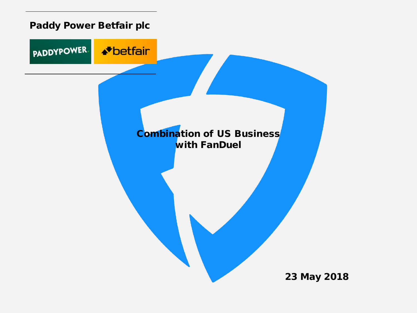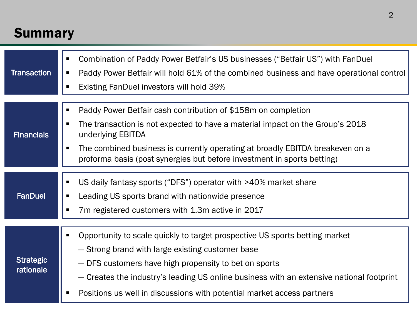# **Summary**

| <b>Transaction</b>            | Combination of Paddy Power Betfair's US businesses ("Betfair US") with FanDuel<br>Paddy Power Betfair will hold 61% of the combined business and have operational control<br>п<br><b>Existing FanDuel investors will hold 39%</b>                                                                                                                              |
|-------------------------------|----------------------------------------------------------------------------------------------------------------------------------------------------------------------------------------------------------------------------------------------------------------------------------------------------------------------------------------------------------------|
| <b>Financials</b>             | Paddy Power Betfair cash contribution of \$158m on completion<br>٠<br>The transaction is not expected to have a material impact on the Group's 2018<br>underlying EBITDA<br>The combined business is currently operating at broadly EBITDA breakeven on a<br>п<br>proforma basis (post synergies but before investment in sports betting)                      |
| <b>FanDuel</b>                | US daily fantasy sports ("DFS") operator with >40% market share<br>Leading US sports brand with nationwide presence<br>7m registered customers with 1.3m active in 2017                                                                                                                                                                                        |
| <b>Strategic</b><br>rationale | Opportunity to scale quickly to target prospective US sports betting market<br>- Strong brand with large existing customer base<br>- DFS customers have high propensity to bet on sports<br>- Creates the industry's leading US online business with an extensive national footprint<br>Positions us well in discussions with potential market access partners |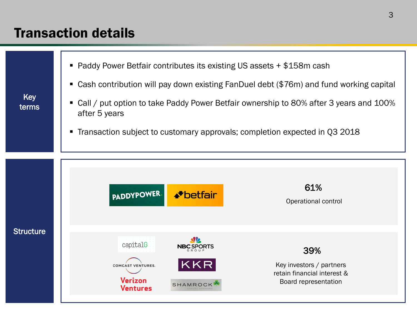## Transaction details

Key terms



- Cash contribution will pay down existing FanDuel debt (\$76m) and fund working capital
- Call / put option to take Paddy Power Betfair ownership to 80% after 3 years and 100% after 5 years
- Transaction subject to customary approvals; completion expected in Q3 2018

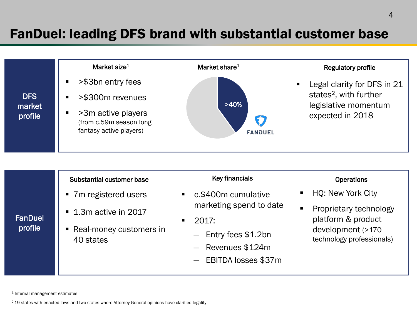# FanDuel: leading DFS brand with substantial customer base



#### Substantial customer base

- 7m registered users
- **1.3m active in 2017**
- Real-money customers in 40 states

#### Key financials

- c.\$400m cumulative marketing spend to date
- $-2017$ 
	- ― Entry fees \$1.2bn
	- ― Revenues \$124m
	- ― EBITDA losses \$37m

#### **Operations**

- HQ: New York City
- Proprietary technology platform & product development (>170 technology professionals)

<sup>1</sup> Internal management estimates

**FanDuel** profile

<sup>2</sup> 19 states with enacted laws and two states where Attorney General opinions have clarified legality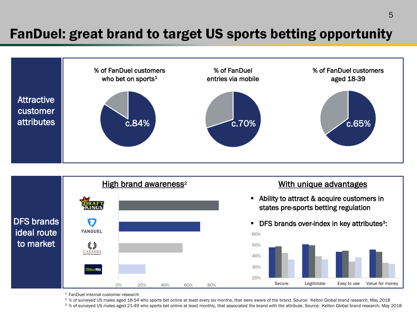## FanDuel: great brand to target US sports betting opportunity





<sup>1</sup> FanDuel internal customer research

<sup>2</sup> % of surveyed US males aged 18-54 who sports bet online at least every six months, that were aware of the brand. Source: Kelton Global brand research, May 2018

<sup>3</sup> % of surveyed US males aged 21-49 who sports bet online at least monthly, that associated the brand with the attribute. Source: Kelton Global brand research, May 2018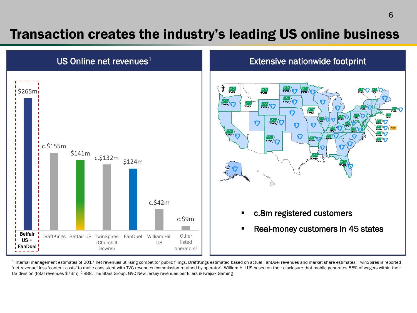## Transaction creates the industry's leading US online business



1 Internal management estimates of 2017 net revenues utilising competitor public filings. DraftKings estimated based on actual FanDuel revenues and market share estimates. TwinSpires is reported 'net revenue' less 'content costs' to make consistent with TVG revenues (commission retained by operator). William Hill US based on their disclosure that mobile generates 58% of wagers within their US division (total revenues \$73m). <sup>2</sup> 888, The Stars Group, GVC New Jersey revenues per Eilers & Krejcik Gaming